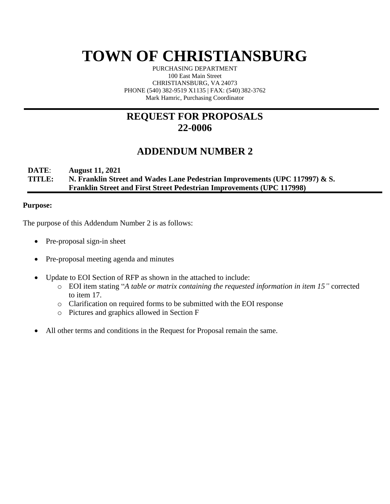# **TOWN OF CHRISTIANSBURG**

PURCHASING DEPARTMENT 100 East Main Street CHRISTIANSBURG, VA 24073 PHONE (540) 382-9519 X1135 | FAX: (540) 382-3762 Mark Hamric, Purchasing Coordinator

### **REQUEST FOR PROPOSALS 22-0006**

### **ADDENDUM NUMBER 2**

### **DATE**: **August 11, 2021 TITLE: N. Franklin Street and Wades Lane Pedestrian Improvements (UPC 117997) & S. Franklin Street and First Street Pedestrian Improvements (UPC 117998)**

### **Purpose:**

The purpose of this Addendum Number 2 is as follows:

- Pre-proposal sign-in sheet
- Pre-proposal meeting agenda and minutes
- Update to EOI Section of RFP as shown in the attached to include:
	- o EOI item stating "*A table or matrix containing the requested information in item 15"* corrected to item 17.
	- o Clarification on required forms to be submitted with the EOI response
	- o Pictures and graphics allowed in Section F
- All other terms and conditions in the Request for Proposal remain the same.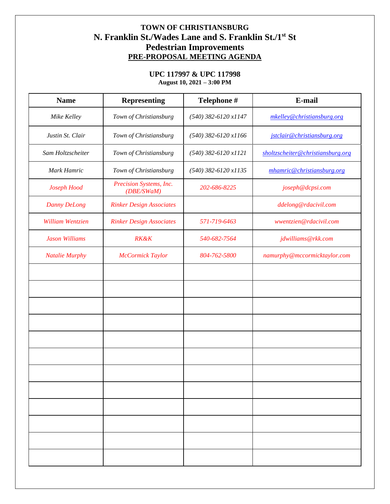### **TOWN OF CHRISTIANSBURG N. Franklin St./Wades Lane and S. Franklin St./1st St Pedestrian Improvements PRE-PROPOSAL MEETING AGENDA**

### **UPC 117997 & UPC 117998 August 10, 2021 – 3:00 PM**

| <b>Name</b>           | <b>Representing</b>                   | Telephone #            | E-mail                            |  |
|-----------------------|---------------------------------------|------------------------|-----------------------------------|--|
| Mike Kelley           | Town of Christiansburg                | $(540)$ 382-6120 x1147 | mkelley@christiansburg.org        |  |
| Justin St. Clair      | Town of Christiansburg                | $(540)$ 382-6120 x1166 | jstclair@christiansburg.org       |  |
| Sam Holtzscheiter     | Town of Christiansburg                | $(540)$ 382-6120 x1121 | sholtzscheiter@christiansburg.org |  |
| Mark Hamric           | Town of Christiansburg                | $(540)$ 382-6120 x1135 | mhamric@christiansburg.org        |  |
| Joseph Hood           | Precision Systems, Inc.<br>(DBE/SWaM) | 202-686-8225           | joseph@dcpsi.com                  |  |
| <b>Danny DeLong</b>   | <b>Rinker Design Associates</b>       |                        | ddelong@rdacivil.com              |  |
| William Wentzien      | <b>Rinker Design Associates</b>       | 571-719-6463           | wwentzien@rdacivil.com            |  |
| <b>Jason Williams</b> | <b>RK&amp;K</b>                       | 540-682-7564           | jdwilliams@rkk.com                |  |
| <b>Natalie Murphy</b> | McCormick Taylor                      | 804-762-5800           | namurphy@mccormicktaylor.com      |  |
|                       |                                       |                        |                                   |  |
|                       |                                       |                        |                                   |  |
|                       |                                       |                        |                                   |  |
|                       |                                       |                        |                                   |  |
|                       |                                       |                        |                                   |  |
|                       |                                       |                        |                                   |  |
|                       |                                       |                        |                                   |  |
|                       |                                       |                        |                                   |  |
|                       |                                       |                        |                                   |  |
|                       |                                       |                        |                                   |  |
|                       |                                       |                        |                                   |  |
|                       |                                       |                        |                                   |  |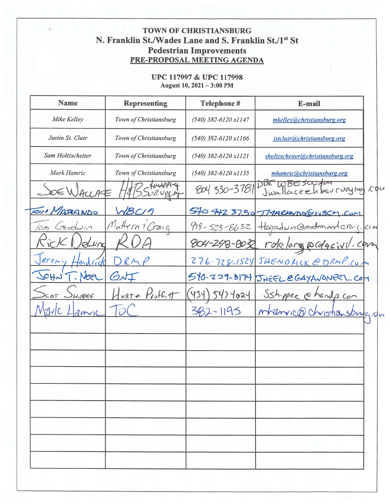# TOWN OF CHRISTIANSBURG N. Franklin St./Wades Lane and S. Franklin St./1st St **Pedestrian Improvements<br>PRE-PROPOSAL MEETING AGENDA**

### UPC 117997 & UPC 117998 August 10, 2021 - 3:00 PM

| <b>Name</b>               | <b>Representing</b>    | <b>Telephone#</b>      | E-mail                                     |
|---------------------------|------------------------|------------------------|--------------------------------------------|
| Mike Kelley               | Town of Christiansburg | $(540)$ 382-6120 x1147 | mkelley@christiansburg.org                 |
| Justin St. Clair          | Town of Christiansburg | $(540)$ 382-6120 x1166 | jstclair@christiansburg.org                |
| Sam Holtzscheiter         | Town of Christiansburg | $(540)$ 382-6120 x1121 | sholtzscheiter@christiansburg.org          |
| Mark Hamric               | Town of Christiansburg | $(540)$ 382-6120 x1135 | mhamric@christiansburg.org                 |
| DE WALLAC                 |                        | ead 330-3781           | DBE WBESCOTTUM<br>Jwallaceehbsurveying cou |
| IOM MARANDO               |                        |                        | 540 442 3750 TMARANDOCINBCM.COM            |
| Toedwin<br>10or           | Mattern & Craig        | $919 - 523 - 8632$     | Hegacown Omation and cray. com             |
|                           |                        |                        | 804-248-8032 rdelong@cdgcivil.com          |
| ereni<br>endredi          |                        |                        | 276-728-1524 JHENORICK @DRMP.CUM           |
| 20H <sub>2</sub><br>Never | $\dot{\mathcal{O}}$    |                        | 540-229-8174 JUEEL CGAYANONEEL. COM        |
| LIPPEE<br>CoT             | $var +$ Profit         | 434<br>547 4024        | Sshipper @handp.com                        |
| dmvic                     |                        | 532-1195               | mhanvico christiansburg.qva                |
|                           |                        |                        |                                            |
|                           |                        |                        |                                            |
|                           |                        |                        |                                            |
|                           |                        |                        |                                            |
|                           |                        |                        |                                            |
|                           |                        |                        |                                            |
|                           |                        |                        |                                            |
|                           |                        |                        |                                            |
|                           |                        |                        |                                            |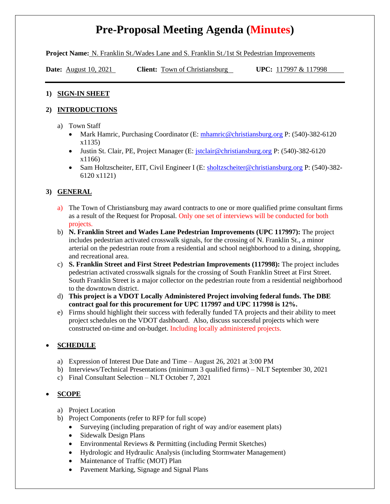## **Pre-Proposal Meeting Agenda (Minutes)**

**Project Name:** N. Franklin St./Wades Lane and S. Franklin St./1st St Pedestrian Improvements

**Date:** <u>August 10, 2021</u> Client: **Town of Christiansburg** UPC: 117997 & 117998

#### **1) SIGN-IN SHEET**

### **2) INTRODUCTIONS**

- a) Town Staff
	- Mark Hamric, Purchasing Coordinator (E: [mhamric@christiansburg.org](mailto:mhamric@christiansburg.org) P: (540)-382-6120 x1135)
	- Justin St. Clair, PE, Project Manager (E: *jstclair@christiansburg.org P: (540)-382-6120* x1166)
	- Sam Holtzscheiter, EIT, Civil Engineer I (E: [sholtzscheiter@christiansburg.org](mailto:sholtzscheiter@christiansburg.org) P: (540)-382-6120 x1121)

### **3) GENERAL**

- a) The Town of Christiansburg may award contracts to one or more qualified prime consultant firms as a result of the Request for Proposal. Only one set of interviews will be conducted for both projects.
- b) **N. Franklin Street and Wades Lane Pedestrian Improvements (UPC 117997):** The project includes pedestrian activated crosswalk signals, for the crossing of N. Franklin St., a minor arterial on the pedestrian route from a residential and school neighborhood to a dining, shopping, and recreational area.
- c) **S. Franklin Street and First Street Pedestrian Improvements (117998):** The project includes pedestrian activated crosswalk signals for the crossing of South Franklin Street at First Street. South Franklin Street is a major collector on the pedestrian route from a residential neighborhood to the downtown district.
- d) **This project is a VDOT Locally Administered Project involving federal funds. The DBE contract goal for this procurement for UPC 117997 and UPC 117998 is 12%.**
- e) Firms should highlight their success with federally funded TA projects and their ability to meet project schedules on the VDOT dashboard. Also, discuss successful projects which were constructed on-time and on-budget. Including locally administered projects.

### • **SCHEDULE**

- a) Expression of Interest Due Date and Time August 26, 2021 at 3:00 PM
- b) Interviews/Technical Presentations (minimum 3 qualified firms) NLT September 30, 2021
- c) Final Consultant Selection NLT October 7, 2021

### • **SCOPE**

- a) Project Location
- b) Project Components (refer to RFP for full scope)
	- Surveying (including preparation of right of way and/or easement plats)
	- Sidewalk Design Plans
	- Environmental Reviews & Permitting (including Permit Sketches)
	- Hydrologic and Hydraulic Analysis (including Stormwater Management)
	- Maintenance of Traffic (MOT) Plan
	- Pavement Marking, Signage and Signal Plans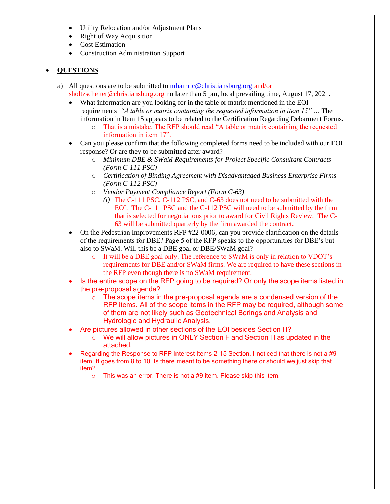- Utility Relocation and/or Adjustment Plans
- Right of Way Acquisition
- Cost Estimation
- Construction Administration Support

### • **QUESTIONS**

- a) All questions are to be submitted to [mhamric@christiansburg.org](mailto:mhamric@christiansburg.org) and/or [sholtzscheiter@christiansburg.org](mailto:sholtzscheiter@christiansburg.org) no later than 5 pm, local prevailing time, August 17, 2021.
	- What information are you looking for in the table or matrix mentioned in the EOI requirements *"A table or matrix containing the requested information in item 15" …* The information in Item 15 appears to be related to the Certification Regarding Debarment Forms.
		- o That is a mistake. The RFP should read "A table or matrix containing the requested information in item 17".
	- Can you please confirm that the following completed forms need to be included with our EOI response? Or are they to be submitted after award?
		- o *Minimum DBE & SWaM Requirements for Project Specific Consultant Contracts (Form C-111 PSC)*
		- o *Certification of Binding Agreement with Disadvantaged Business Enterprise Firms (Form C-112 PSC)*
		- o *Vendor Payment Compliance Report (Form C-63)*
			- *(i)* The C-111 PSC, C-112 PSC, and C-63 does not need to be submitted with the EOI. The C-111 PSC and the C-112 PSC will need to be submitted by the firm that is selected for negotiations prior to award for Civil Rights Review. The C-63 will be submitted quarterly by the firm awarded the contract.
	- On the Pedestrian Improvements RFP #22-0006, can you provide clarification on the details of the requirements for DBE? Page 5 of the RFP speaks to the opportunities for DBE's but also to SWaM. Will this be a DBE goal or DBE/SWaM goal?
		- o It will be a DBE goal only. The reference to SWaM is only in relation to VDOT's requirements for DBE and/or SWaM firms. We are required to have these sections in the RFP even though there is no SWaM requirement.
	- Is the entire scope on the RFP going to be required? Or only the scope items listed in the pre-proposal agenda?
		- $\circ$  The scope items in the pre-proposal agenda are a condensed version of the RFP items. All of the scope items in the RFP may be required, although some of them are not likely such as Geotechnical Borings and Analysis and Hydrologic and Hydraulic Analysis.
	- Are pictures allowed in other sections of the EOI besides Section H?
		- $\circ$  We will allow pictures in ONLY Section F and Section H as updated in the attached.
	- Regarding the Response to RFP Interest Items 2-15 Section, I noticed that there is not a #9 item. It goes from 8 to 10. Is there meant to be something there or should we just skip that item?
		- o This was an error. There is not a #9 item. Please skip this item.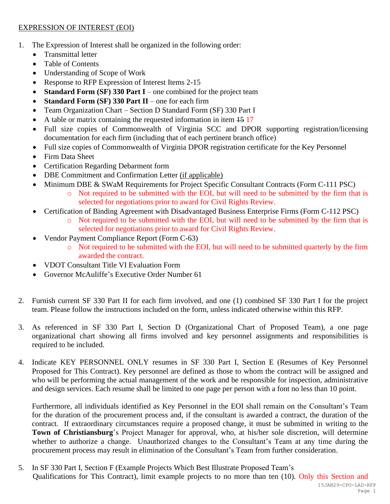### EXPRESSION OF INTEREST (EOI)

- 1. The Expression of Interest shall be organized in the following order:
	- Transmittal letter
	- Table of Contents
	- Understanding of Scope of Work
	- Response to RFP Expression of Interest Items 2-15
	- **Standard Form (SF) 330 Part I** one combined for the project team
	- **Standard Form (SF) 330 Part II** one for each firm
	- Team Organization Chart Section D Standard Form (SF) 330 Part I
	- A table or matrix containing the requested information in item  $\frac{15}{17}$
	- Full size copies of Commonwealth of Virginia SCC and DPOR supporting registration/licensing documentation for each firm (including that of each pertinent branch office)
	- Full size copies of Commonwealth of Virginia DPOR registration certificate for the Key Personnel
	- Firm Data Sheet
	- Certification Regarding Debarment form
	- DBE Commitment and Confirmation Letter (if applicable)
	- Minimum DBE & SWaM Requirements for Project Specific Consultant Contracts (Form C-111 PSC)
		- o Not required to be submitted with the EOI, but will need to be submitted by the firm that is selected for negotiations prior to award for Civil Rights Review.
	- Certification of Binding Agreement with Disadvantaged Business Enterprise Firms (Form C-112 PSC)
		- o Not required to be submitted with the EOI, but will need to be submitted by the firm that is selected for negotiations prior to award for Civil Rights Review.
	- Vendor Payment Compliance Report (Form C-63)
		- o Not required to be submitted with the EOI, but will need to be submitted quarterly by the firm awarded the contract.
	- VDOT Consultant Title VI Evaluation Form
	- Governor McAuliffe's Executive Order Number 61
- 2. Furnish current SF 330 Part II for each firm involved, and one (1) combined SF 330 Part I for the project team. Please follow the instructions included on the form, unless indicated otherwise within this RFP.
- 3. As referenced in SF 330 Part I, Section D (Organizational Chart of Proposed Team), a one page organizational chart showing all firms involved and key personnel assignments and responsibilities is required to be included.
- 4. Indicate KEY PERSONNEL ONLY resumes in SF 330 Part I, Section E (Resumes of Key Personnel Proposed for This Contract). Key personnel are defined as those to whom the contract will be assigned and who will be performing the actual management of the work and be responsible for inspection, administrative and design services. Each resume shall be limited to one page per person with a font no less than 10 point.

Furthermore, all individuals identified as Key Personnel in the EOI shall remain on the Consultant's Team for the duration of the procurement process and, if the consultant is awarded a contract, the duration of the contract. If extraordinary circumstances require a proposed change, it must be submitted in writing to the **Town of Christiansburg**'s Project Manager for approval, who, at his/her sole discretion, will determine whether to authorize a change. Unauthorized changes to the Consultant's Team at any time during the procurement process may result in elimination of the Consultant's Team from further consideration.

5. In SF 330 Part I, Section F (Example Projects Which Best Illustrate Proposed Team's Qualifications for This Contract), limit example projects to no more than ten (10). Only this Section and